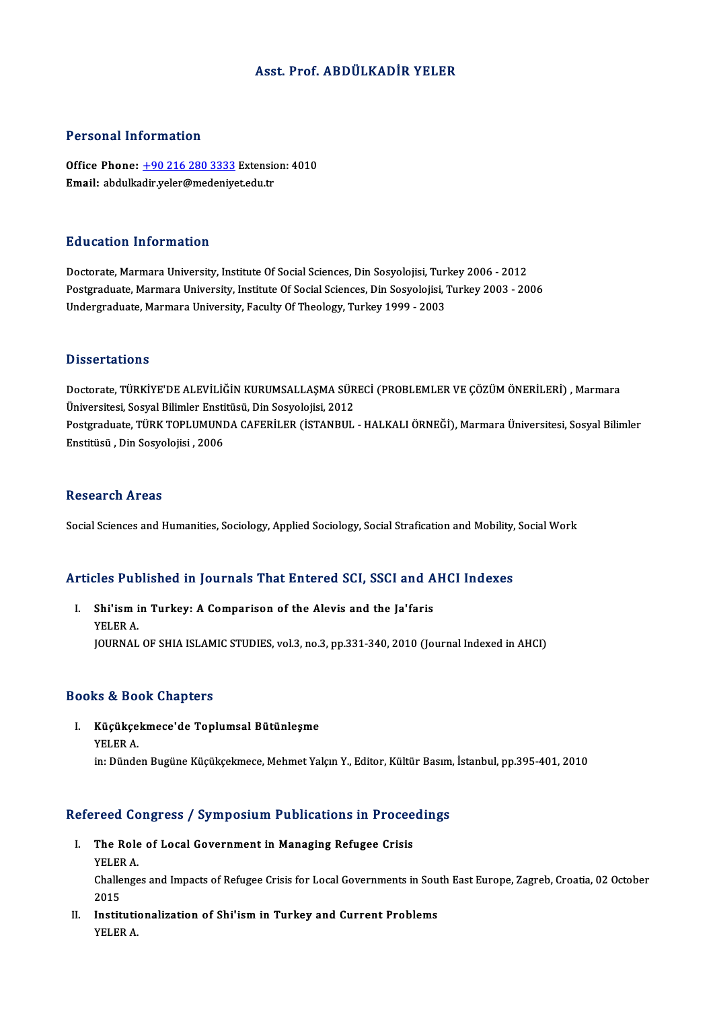## Asst. Prof. ABDÜLKADİR YELER

### Personal Information

Personal Information<br>Office Phone: <u>+90 216 280 3333</u> Extension: 4010<br>Email: abdulladir.veler@medenivet.edu.tr er orbonar miror macron<br>Office Phone: <u>+90 216 280 3333</u> Extensic<br>Email: abdulka[dir.yeler@medeniye](tel:+90 216 280 3333)t.edu.tr Email: abdulkadir.yeler@medeniyet.edu.tr<br>Education Information

Doctorate, Marmara University, Institute Of Social Sciences, Din Sosyolojisi, Turkey 2006 - 2012 Postgraduate, Marmara University, Institute Of Social Sciences, Din Sosyolojisi, Turkey 2003 - 2006 Undergraduate, Marmara University, Faculty Of Theology, Turkey 1999 - 2003

### **Dissertations**

Dissertations<br>Doctorate, TÜRKİYE'DE ALEVİLİĞİN KURUMSALLAŞMA SÜRECİ (PROBLEMLER VE ÇÖZÜM ÖNERİLERİ) , Marmara<br>Üniversitesi Sesval Bilimler Enstitüsü, Din Sesvalejisi, 2012 D'isser tatrems<br>Doctorate, TÜRKİYE'DE ALEVİLİĞİN KURUMSALLAŞMA SÜR<br>Üniversitesi, Sosyal Bilimler Enstitüsü, Din Sosyolojisi, 2012<br>Postanaduate TÜRK TORLUMUNDA CAEERİLER (İSTANBUL Doctorate, TÜRKİYE'DE ALEVİLİĞİN KURUMSALLAŞMA SÜRECİ (PROBLEMLER VE ÇÖZÜM ÖNERİLERİ) , Marmara<br>Üniversitesi, Sosyal Bilimler Enstitüsü, Din Sosyolojisi, 2012<br>Postgraduate, TÜRK TOPLUMUNDA CAFERİLER (İSTANBUL - HALKALI ÖRN Üniversitesi, Sosyal Bilimler Ensti<br>Postgraduate, TÜRK TOPLUMUNI<br>Enstitüsü , Din Sosyolojisi , 2006 Enstitüsü , Din Sosyolojisi , 2006<br>Research Areas

Social Sciences and Humanities, Sociology, Applied Sociology, Social Strafication and Mobility, Social Work

# social sciences and riumaniues, sociology, Applied sociology, social stratication and Mobility,<br>Articles Published in Journals That Entered SCI, SSCI and AHCI Indexes

rticles Published in Journals That Entered SCI, SSCI and A<br>I. Shi'ism in Turkey: A Comparison of the Alevis and the Ja'faris<br>VELER A I. Shi'ism in Turkey: A Comparison of the Alevis and the Ja'faris YELER A. JOURNAL OF SHIA ISLAMIC STUDIES, vol.3, no.3, pp.331-340, 2010 (Journal Indexed in AHCI)

### Books&Book Chapters

ooks & Book Chapters<br>I. Küçükçekmece'de Toplumsal Bütünleşme<br>YELER A rs & Bet<br>Küçükçe<br>YELER A. YELER A.<br>in: Dünden Bugüne Küçükçekmece, Mehmet Yalçın Y., Editor, Kültür Basım, İstanbul, pp.395-401, 2010

# m: Dunden Bugune Kuçukçekmece, Menmet raiçin 1., Editor, Kultur Basım<br>Refereed Congress / Symposium Publications in Proceedings

- efereed Congress / Symposium Publications in Procee<br>I. The Role of Local Government in Managing Refugee Crisis<br>VELER A The Role of Local Government in Managing Refugee Crisis<br>YELER A. The Role of Local Government in Managing Refugee Crisis<br>YELER A.<br>Challenges and Impacts of Refugee Crisis for Local Governments in South East Europe, Zagreb, Croatia, 02 October YELEF<br>Challe<br>2015<br>Instit
- Challenges and Impacts of Refugee Crisis for Local Governments in Sou<br>2015<br>II. Institutionalization of Shi'ism in Turkey and Current Problems<br>VELER A 2015<br>II. Institutionalization of Shi'ism in Turkey and Current Problems<br>YELER A.